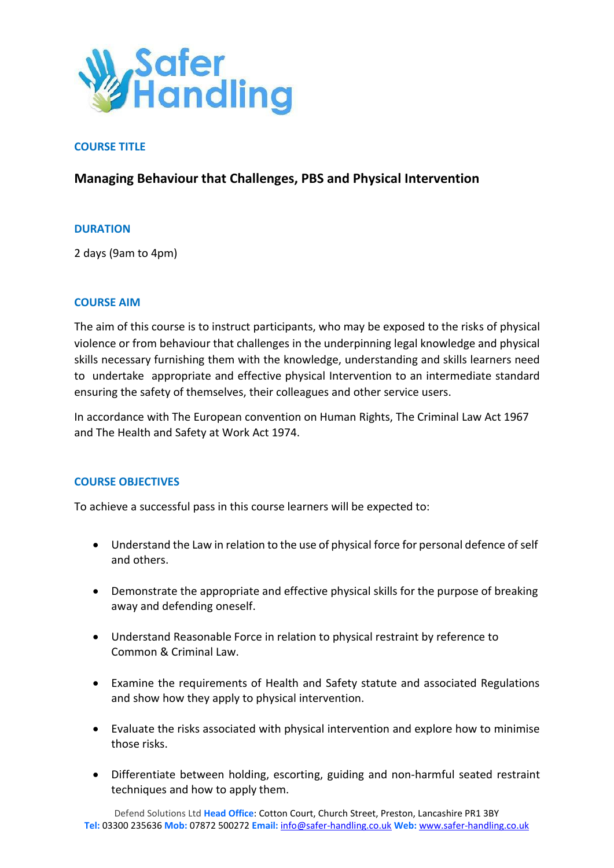

## **COURSE TITLE**

# **Managing Behaviour that Challenges, PBS and Physical Intervention**

### **DURATION**

2 days (9am to 4pm)

#### **COURSE AIM**

The aim of this course is to instruct participants, who may be exposed to the risks of physical violence or from behaviour that challenges in the underpinning legal knowledge and physical skills necessary furnishing them with the knowledge, understanding and skills learners need to undertake appropriate and effective physical Intervention to an intermediate standard ensuring the safety of themselves, their colleagues and other service users.

In accordance with The European convention on Human Rights, The Criminal Law Act 1967 and The Health and Safety at Work Act 1974.

### **COURSE OBJECTIVES**

To achieve a successful pass in this course learners will be expected to:

- Understand the Law in relation to the use of physical force for personal defence of self and others.
- Demonstrate the appropriate and effective physical skills for the purpose of breaking away and defending oneself.
- Understand Reasonable Force in relation to physical restraint by reference to Common & Criminal Law.
- Examine the requirements of Health and Safety statute and associated Regulations and show how they apply to physical intervention.
- Evaluate the risks associated with physical intervention and explore how to minimise those risks.
- Differentiate between holding, escorting, guiding and non-harmful seated restraint techniques and how to apply them.